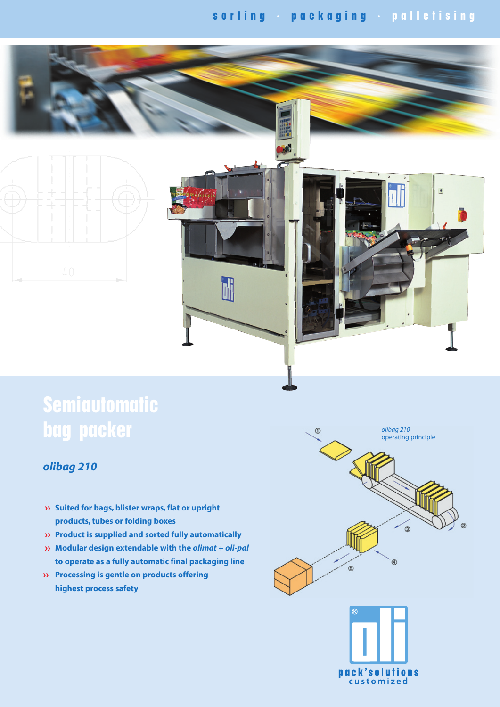# **s o r t i n g · p a c k a g i n g · p a l l e t i s i n g**

 $\overline{\phantom{a}}$ 



# **Semiautomatic bag packer**

### *olibag 210*

- **Suited for bags, blister wraps, flat or upright products, tubes or folding boxes**
- **Product is supplied and sorted fully automatically**
- **Modular design extendable with the** *olimat* **+** *oli-pal* **to operate as a fully automatic final packaging line**
- **Processing is gentle on products offering highest process safety**